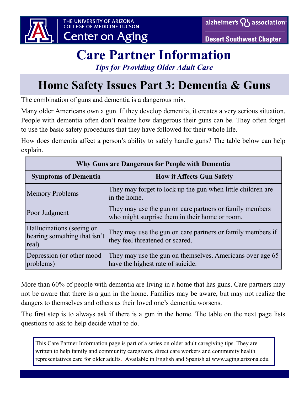



# **Care Partner Information**

*Tips for Providing Older Adult Care*

## **Home Safety Issues Part 3: Dementia & Guns**

The combination of guns and dementia is a dangerous mix.

Many older Americans own a gun. If they develop dementia, it creates a very serious situation. People with dementia often don't realize how dangerous their guns can be. They often forget to use the basic safety procedures that they have followed for their whole life.

How does dementia affect a person's ability to safely handle guns? The table below can help explain.

| Why Guns are Dangerous for People with Dementia                    |                                                                                                           |  |
|--------------------------------------------------------------------|-----------------------------------------------------------------------------------------------------------|--|
| <b>Symptoms of Dementia</b>                                        | <b>How it Affects Gun Safety</b>                                                                          |  |
| Memory Problems                                                    | They may forget to lock up the gun when little children are<br>in the home.                               |  |
| Poor Judgment                                                      | They may use the gun on care partners or family members<br>who might surprise them in their home or room. |  |
| Hallucinations (seeing or<br>hearing something that isn't<br>real) | They may use the gun on care partners or family members if<br>they feel threatened or scared.             |  |
| Depression (or other mood<br>problems)                             | They may use the gun on themselves. Americans over age 65<br>have the highest rate of suicide.            |  |

More than 60% of people with dementia are living in a home that has guns. Care partners may not be aware that there is a gun in the home. Families may be aware, but may not realize the dangers to themselves and others as their loved one's dementia worsens.

The first step is to always ask if there is a gun in the home. The table on the next page lists questions to ask to help decide what to do.

This Care Partner Information page is part of a series on older adult caregiving tips. They are written to help family and community caregivers, direct care workers and community health representatives care for older adults. Available in English and Spanish at www.aging.arizona.edu